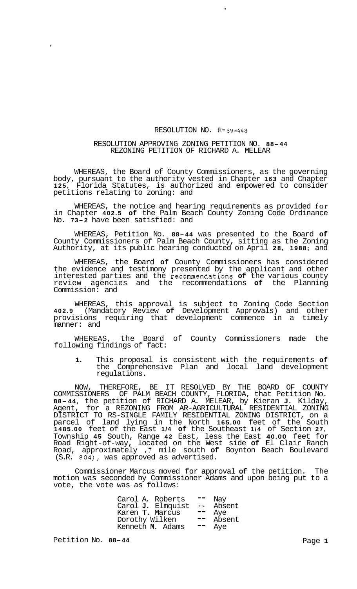## RESOLUTION NO. R-89-448

## RESOLUTION APPROVING ZONING PETITION NO. **88-44**  REZONING PETITION OF RICHARD A. MELEAR

WHEREAS, the Board of County Commissioners, as the governing body, pursuant to the authority vested in Chapter **163** and Chapter **125,** Florida Statutes, is authorized and empowered to consider petitions relating to zoning: and

WHEREAS, the notice and hearing requirements as provided for in Chapter **402.5 of** the Palm Beach County Zoning Code Ordinance No. **73-2** have been satisfied: and

WHEREAS, Petition No. **88-44** was presented to the Board **of**  County Commissioners of Palm Beach County, sitting as the Zoning Authority, at its public hearing conducted on April **28, 1988;** and

WHEREAS, the Board **of** County Commissioners has considered the evidence and testimony presented by the applicant and other interested parties and the recommendations **of** the various county review agencies and the recommendations **of** the Planning Commission: and

WHEREAS, this approval is subject to Zoning Code Section **402.9** (Mandatory Review **of** Development Approvals) and other provisions requiring that development commence in a timely manner: and

WHEREAS, the Board of County Commissioners made the following findings of fact:

**1.** This proposal is consistent with the requirements **of**  the Comprehensive Plan and local land development regulations.

NOW, THEREFORE, BE IT RESOLVED BY THE BOARD OF COUNTY COMMISSIONERS OF PALM BEACH COUNTY, FLORIDA, that Petition No. **88- 44,** the petition of RICHARD A. MELEAR, by Kieran **J.** Kilday, Agent, for a REZONING FROM AR-AGRICULTURAL RESIDENTIAL ZONING parcel of land lying in the North **165.00** feet of the South **1485.00** feet of the East **1/4 of** the Southeast **1/4** of Section **27,**  Township **45** South, Range **42** East, less the East **40.00** feet for Road Right-of-way, located on the West side **of** El Clair Ranch Road, approximately *.7* mile south **of** Boynton Beach Boulevard (S.R. **804),** was approved as advertised. DISTRICT TO RS-SINGLE FAMILY RESIDENTIAL ZONING DISTRICT, on a

Commissioner Marcus moved for approval **of** the petition. The motion was seconded by Commissioner Adams and upon being put to a vote, the vote was as follows:

| Carol A. Roberts  |               | Nay    |
|-------------------|---------------|--------|
| Carol J. Elmquist | $\sim$ $\sim$ | Absent |
| Karen T. Marcus   | --            | Aye    |
| Dorothy Wilken    |               | Absent |
| Kenneth M. Adams  |               | Aye    |